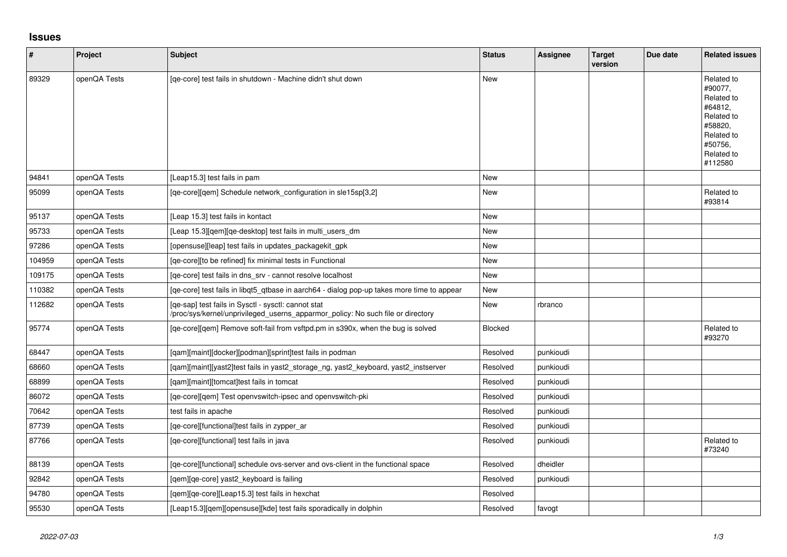## **Issues**

| $\sharp$ | Project      | <b>Subject</b>                                                                                                                         | <b>Status</b> | Assignee  | <b>Target</b><br>version | Due date | <b>Related issues</b>                                                                                                     |
|----------|--------------|----------------------------------------------------------------------------------------------------------------------------------------|---------------|-----------|--------------------------|----------|---------------------------------------------------------------------------------------------------------------------------|
| 89329    | openQA Tests | [qe-core] test fails in shutdown - Machine didn't shut down                                                                            | <b>New</b>    |           |                          |          | Related to<br>#90077.<br>Related to<br>#64812.<br>Related to<br>#58820.<br>Related to<br>#50756,<br>Related to<br>#112580 |
| 94841    | openQA Tests | [Leap15.3] test fails in pam                                                                                                           | <b>New</b>    |           |                          |          |                                                                                                                           |
| 95099    | openQA Tests | [ge-core][gem] Schedule network configuration in sle15sp[3,2]                                                                          | <b>New</b>    |           |                          |          | Related to<br>#93814                                                                                                      |
| 95137    | openQA Tests | [Leap 15.3] test fails in kontact                                                                                                      | New           |           |                          |          |                                                                                                                           |
| 95733    | openQA Tests | [Leap 15.3][qem][qe-desktop] test fails in multi_users_dm                                                                              | <b>New</b>    |           |                          |          |                                                                                                                           |
| 97286    | openQA Tests | [opensuse][leap] test fails in updates_packagekit_gpk                                                                                  | <b>New</b>    |           |                          |          |                                                                                                                           |
| 104959   | openQA Tests | [qe-core][to be refined] fix minimal tests in Functional                                                                               | <b>New</b>    |           |                          |          |                                                                                                                           |
| 109175   | openQA Tests | [qe-core] test fails in dns_srv - cannot resolve localhost                                                                             | <b>New</b>    |           |                          |          |                                                                                                                           |
| 110382   | openQA Tests | [ge-core] test fails in libgt5 gtbase in aarch64 - dialog pop-up takes more time to appear                                             | New           |           |                          |          |                                                                                                                           |
| 112682   | openQA Tests | [qe-sap] test fails in Sysctl - sysctl: cannot stat<br>/proc/sys/kernel/unprivileged_userns_apparmor_policy: No such file or directory | New           | rbranco   |                          |          |                                                                                                                           |
| 95774    | openQA Tests | [qe-core][qem] Remove soft-fail from vsftpd.pm in s390x, when the bug is solved                                                        | Blocked       |           |                          |          | Related to<br>#93270                                                                                                      |
| 68447    | openQA Tests | [qam][maint][docker][podman][sprint]test fails in podman                                                                               | Resolved      | punkioudi |                          |          |                                                                                                                           |
| 68660    | openQA Tests | [qam][maint][yast2]test fails in yast2_storage_ng, yast2_keyboard, yast2_instserver                                                    | Resolved      | punkioudi |                          |          |                                                                                                                           |
| 68899    | openQA Tests | [qam][maint][tomcat]test fails in tomcat                                                                                               | Resolved      | punkioudi |                          |          |                                                                                                                           |
| 86072    | openQA Tests | [ge-core][gem] Test openvswitch-ipsec and openvswitch-pki                                                                              | Resolved      | punkioudi |                          |          |                                                                                                                           |
| 70642    | openQA Tests | test fails in apache                                                                                                                   | Resolved      | punkioudi |                          |          |                                                                                                                           |
| 87739    | openQA Tests | [qe-core][functional]test fails in zypper_ar                                                                                           | Resolved      | punkioudi |                          |          |                                                                                                                           |
| 87766    | openQA Tests | [ge-core][functional] test fails in java                                                                                               | Resolved      | punkioudi |                          |          | Related to<br>#73240                                                                                                      |
| 88139    | openQA Tests | [ge-core][functional] schedule ovs-server and ovs-client in the functional space                                                       | Resolved      | dheidler  |                          |          |                                                                                                                           |
| 92842    | openQA Tests | [gem][ge-core] yast2 keyboard is failing                                                                                               | Resolved      | punkioudi |                          |          |                                                                                                                           |
| 94780    | openQA Tests | [gem][ge-core][Leap15.3] test fails in hexchat                                                                                         | Resolved      |           |                          |          |                                                                                                                           |
| 95530    | openQA Tests | [Leap15.3][qem][opensuse][kde] test fails sporadically in dolphin                                                                      | Resolved      | favogt    |                          |          |                                                                                                                           |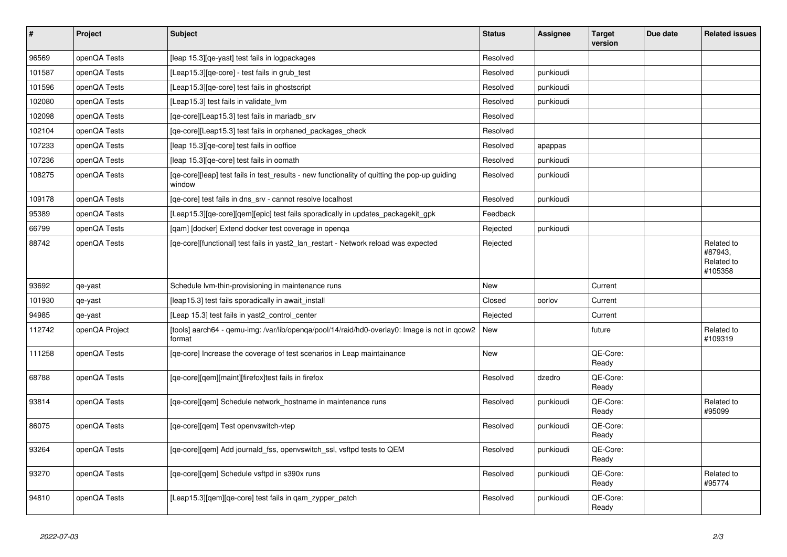| $\vert$ # | Project        | <b>Subject</b>                                                                                          | <b>Status</b> | Assignee  | <b>Target</b><br>version | Due date | <b>Related issues</b>                          |
|-----------|----------------|---------------------------------------------------------------------------------------------------------|---------------|-----------|--------------------------|----------|------------------------------------------------|
| 96569     | openQA Tests   | [leap 15.3] [qe-yast] test fails in logpackages                                                         | Resolved      |           |                          |          |                                                |
| 101587    | openQA Tests   | [Leap15.3][qe-core] - test fails in grub_test                                                           | Resolved      | punkioudi |                          |          |                                                |
| 101596    | openQA Tests   | [Leap15.3] [qe-core] test fails in ghostscript                                                          | Resolved      | punkioudi |                          |          |                                                |
| 102080    | openQA Tests   | [Leap15.3] test fails in validate lvm                                                                   | Resolved      | punkioudi |                          |          |                                                |
| 102098    | openQA Tests   | [qe-core][Leap15.3] test fails in mariadb_srv                                                           | Resolved      |           |                          |          |                                                |
| 102104    | openQA Tests   | [qe-core][Leap15.3] test fails in orphaned_packages_check                                               | Resolved      |           |                          |          |                                                |
| 107233    | openQA Tests   | [leap 15.3][qe-core] test fails in ooffice                                                              | Resolved      | apappas   |                          |          |                                                |
| 107236    | openQA Tests   | [leap 15.3][qe-core] test fails in oomath                                                               | Resolved      | punkioudi |                          |          |                                                |
| 108275    | openQA Tests   | [qe-core][leap] test fails in test_results - new functionality of quitting the pop-up guiding<br>window | Resolved      | punkioudi |                          |          |                                                |
| 109178    | openQA Tests   | [ge-core] test fails in dns srv - cannot resolve localhost                                              | Resolved      | punkioudi |                          |          |                                                |
| 95389     | openQA Tests   | [Leap15.3][qe-core][qem][epic] test fails sporadically in updates_packagekit_gpk                        | Feedback      |           |                          |          |                                                |
| 66799     | openQA Tests   | [gam] [docker] Extend docker test coverage in openga                                                    | Rejected      | punkioudi |                          |          |                                                |
| 88742     | openQA Tests   | [qe-core][functional] test fails in yast2_lan_restart - Network reload was expected                     | Rejected      |           |                          |          | Related to<br>#87943,<br>Related to<br>#105358 |
| 93692     | qe-yast        | Schedule Ivm-thin-provisioning in maintenance runs                                                      | New           |           | Current                  |          |                                                |
| 101930    | qe-yast        | [leap15.3] test fails sporadically in await_install                                                     | Closed        | oorlov    | Current                  |          |                                                |
| 94985     | qe-yast        | [Leap 15.3] test fails in yast2_control_center                                                          | Rejected      |           | Current                  |          |                                                |
| 112742    | openQA Project | [tools] aarch64 - qemu-img: /var/lib/openqa/pool/14/raid/hd0-overlay0: Image is not in qcow2<br>format  | New           |           | future                   |          | Related to<br>#109319                          |
| 111258    | openQA Tests   | [ge-core] Increase the coverage of test scenarios in Leap maintainance                                  | New           |           | QE-Core:<br>Ready        |          |                                                |
| 68788     | openQA Tests   | [qe-core][qem][maint][firefox]test fails in firefox                                                     | Resolved      | dzedro    | QE-Core:<br>Ready        |          |                                                |
| 93814     | openQA Tests   | [ge-core][gem] Schedule network hostname in maintenance runs                                            | Resolved      | punkioudi | QE-Core:<br>Ready        |          | Related to<br>#95099                           |
| 86075     | openQA Tests   | [qe-core][qem] Test openvswitch-vtep                                                                    | Resolved      | punkioudi | QE-Core:<br>Ready        |          |                                                |
| 93264     | openQA Tests   | [qe-core][qem] Add journald_fss, openvswitch_ssl, vsftpd tests to QEM                                   | Resolved      | punkioudi | QE-Core:<br>Ready        |          |                                                |
| 93270     | openQA Tests   | [ge-core][gem] Schedule vsftpd in s390x runs                                                            | Resolved      | punkioudi | QE-Core:<br>Ready        |          | Related to<br>#95774                           |
| 94810     | openQA Tests   | [Leap15.3][qem][qe-core] test fails in qam_zypper_patch                                                 | Resolved      | punkioudi | QE-Core:<br>Ready        |          |                                                |